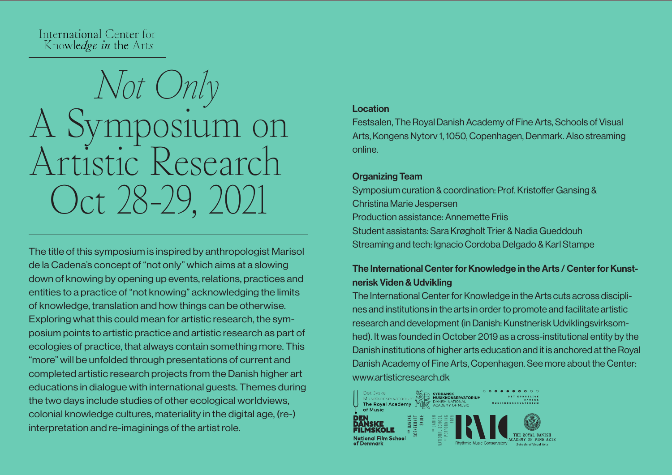International Center for Knowledge in the Arts

# *Not Only*  A Symposium on Artistic Research Oct 28-29, 2021

The title of this symposium is inspired by anthropologist Marisol de la Cadena's concept of "not only" which aims at a slowing down of knowing by opening up events, relations, practices and entities to a practice of "not knowing" acknowledging the limits of knowledge, translation and how things can be otherwise. Exploring what this could mean for artistic research, the symposium points to artistic practice and artistic research as part of ecologies of practice, that always contain something more. This "more" will be unfolded through presentations of current and completed artistic research projects from the Danish higher art educations in dialogue with international guests. Themes during the two days include studies of other ecological worldviews, colonial knowledge cultures, materiality in the digital age, (re-) interpretation and re-imaginings of the artist role.

#### Location

Festsalen, The Royal Danish Academy of Fine Arts, Schools of Visual Arts, Kongens Nytorv 1, 1050, Copenhagen, Denmark. Also streaming online.

## Organizing Team

Symposium curation & coordination: Prof. Kristoffer Gansing & Christina Marie Jespersen Production assistance: Annemette Friis Student assistants: Sara Krøgholt Trier & Nadia Gueddouh Streaming and tech: Ignacio Cordoba Delgado & Karl Stampe

# The International Center for Knowledge in the Arts / Center for Kunstnerisk Viden & Udvikling

The International Center for Knowledge in the Arts cuts across disciplines and institutions in the arts in order to promote and facilitate artistic research and development (in Danish: Kunstnerisk Udviklingsvirksomhed). It was founded in October 2019 as a cross-institutional entity by the Danish institutions of higher arts education and it is anchored at the Royal Danish Academy of Fine Arts, Copenhagen. See more about the Center: www.artisticresearch.dk